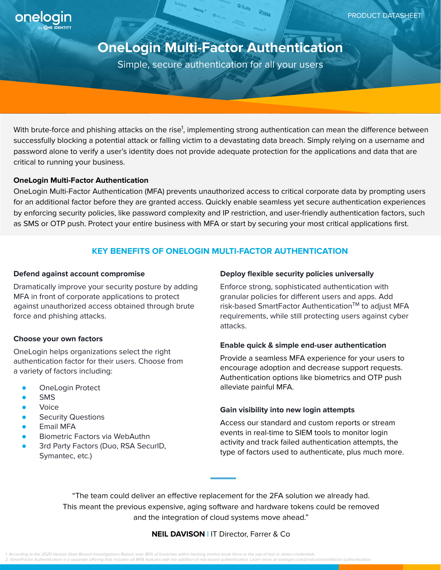

# **OneLogin Multi-Factor Authentication**

Simple, secure authentication for all your users

With brute-force and phishing attacks on the rise<sup>1</sup>, implementing strong authentication can mean the difference between successfully blocking a potential attack or falling victim to a devastating data breach. Simply relying on a username and password alone to verify a user's identity does not provide adequate protection for the applications and data that are critical to running your business.

# **OneLogin Multi-Factor Authentication**

OneLogin Multi-Factor Authentication (MFA) prevents unauthorized access to critical corporate data by prompting users for an additional factor before they are granted access. Quickly enable seamless yet secure authentication experiences by enforcing security policies, like password complexity and IP restriction, and user-friendly authentication factors, such as SMS or OTP push. Protect your entire business with MFA or start by securing your most critical applications first.

# **KEY BENEFITS OF ONELOGIN MULTI-FACTOR AUTHENTICATION**

### **Defend against account compromise**

Dramatically improve your security posture by adding MFA in front of corporate applications to protect against unauthorized access obtained through brute force and phishing attacks.

# **Choose your own factors**

OneLogin helps organizations select the right authentication factor for their users. Choose from a variety of factors including:

- OneLogin Protect
- **SMS**
- **Voice**
- **Security Questions**
- **Email MFA**
- **Biometric Factors via WebAuthn**
- 3rd Party Factors (Duo, RSA SecurID, Symantec, etc.)

#### **Deploy flexible security policies universally**

Enforce strong, sophisticated authentication with granular policies for different users and apps. Add risk-based SmartFactor Authentication™ to adjust MFA requirements, while still protecting users against cyber attacks.

# **Enable quick & simple end-user authentication**

Provide a seamless MFA experience for your users to encourage adoption and decrease support requests. Authentication options like biometrics and OTP push alleviate painful MFA.

## **Gain visibility into new login attempts**

Access our standard and custom reports or stream events in real-time to SIEM tools to monitor login activity and track failed authentication attempts, the type of factors used to authenticate, plus much more.

"The team could deliver an effective replacement for the 2FA solution we already had. This meant the previous expensive, aging software and hardware tokens could be removed and the integration of cloud systems move ahead."

# **NEIL DAVISON |** IT Director, Farrer & Co